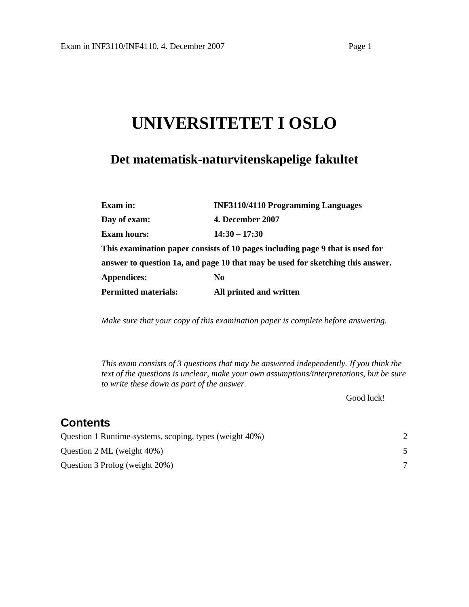# **UNIVERSITETET I OSLO**

## **Det matematisk-naturvitenskapelige fakultet**

| Exam in:                    | <b>INF3110/4110 Programming Languages</b>                                      |  |  |
|-----------------------------|--------------------------------------------------------------------------------|--|--|
| Day of exam:                | <b>4. December 2007</b>                                                        |  |  |
| <b>Exam hours:</b>          | $14:30 - 17:30$                                                                |  |  |
|                             | This examination paper consists of 10 pages including page 9 that is used for  |  |  |
|                             | answer to question 1a, and page 10 that may be used for sketching this answer. |  |  |
| <b>Appendices:</b>          | N <sub>0</sub>                                                                 |  |  |
| <b>Permitted materials:</b> | All printed and written                                                        |  |  |

*Make sure that your copy of this examination paper is complete before answering.*

*This exam consists of 3 questions that may be answered independently. If you think the text of the questions is unclear, make your own assumptions/interpretations, but be sure to write these down as part of the answer.* 

Good luck!

## **Contents**

| Question 1 Runtime-systems, scoping, types (weight 40%) |  |
|---------------------------------------------------------|--|
| Question 2 ML (weight $40\%$ )                          |  |
| Question 3 Prolog (weight 20%)                          |  |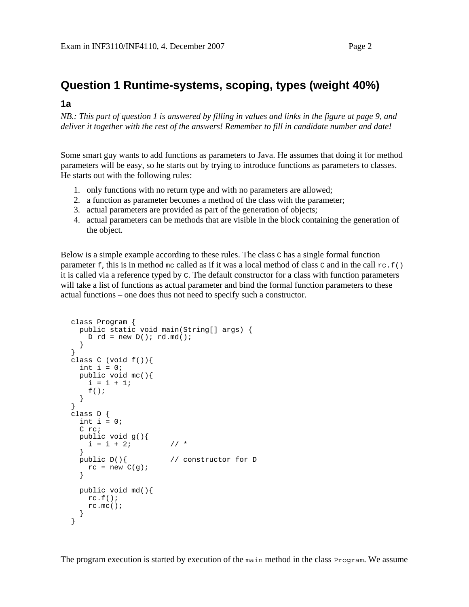## **Question 1 Runtime-systems, scoping, types (weight 40%)**

#### **1a**

*NB.: This part of question 1 is answered by filling in values and links in the figure at page 9, and deliver it together with the rest of the answers! Remember to fill in candidate number and date!* 

Some smart guy wants to add functions as parameters to Java. He assumes that doing it for method parameters will be easy, so he starts out by trying to introduce functions as parameters to classes. He starts out with the following rules:

- 1. only functions with no return type and with no parameters are allowed;
- 2. a function as parameter becomes a method of the class with the parameter;
- 3. actual parameters are provided as part of the generation of objects;
- 4. actual parameters can be methods that are visible in the block containing the generation of the object.

Below is a simple example according to these rules. The class  $\sigma$  has a single formal function parameter  $f$ , this is in method mc called as if it was a local method of class c and in the call  $r c f()$ it is called via a reference typed by C. The default constructor for a class with function parameters will take a list of functions as actual parameter and bind the formal function parameters to these actual functions – one does thus not need to specify such a constructor.

```
class Program { 
   public static void main(String[] args) { 
   D rd = new D(); rd.md();
 } 
} 
class C (void f()) {
 int i = 0;
   public void mc(){ 
   i = i + 1;f();
  } 
} 
class D { 
 int i = 0;
   C rc; 
  public void g(){ 
   i = i + 2i // *
 } 
  public D(){ // constructor for D 
   rc = new C(g); } 
  public void md(){ 
   rc.f();
     rc.mc(); 
   } 
}
```
The program execution is started by execution of the main method in the class Program. We assume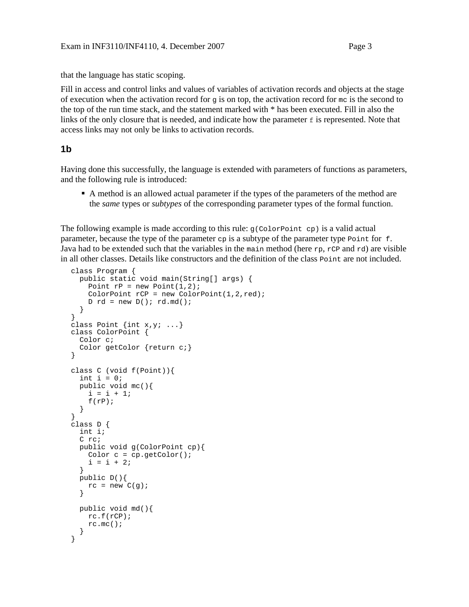that the language has static scoping.

Fill in access and control links and values of variables of activation records and objects at the stage of execution when the activation record for g is on top, the activation record for  $mc$  is the second to the top of the run time stack, and the statement marked with \* has been executed. Fill in also the links of the only closure that is needed, and indicate how the parameter  $\epsilon$  is represented. Note that access links may not only be links to activation records.

#### **1b**

Having done this successfully, the language is extended with parameters of functions as parameters, and the following rule is introduced:

 A method is an allowed actual parameter if the types of the parameters of the method are the *same* types or *subtypes* of the corresponding parameter types of the formal function.

The following example is made according to this rule:  $g$ (ColorPoint cp) is a valid actual parameter, because the type of the parameter  $cp$  is a subtype of the parameter type  $Poinr$  for f. Java had to be extended such that the variables in the main method (here  $rp$ ,  $rCP$  and  $rd$ ) are visible in all other classes. Details like constructors and the definition of the class Point are not included.

```
class Program { 
   public static void main(String[] args) { 
    Point rP = new Point(1,2);
    ColorPoint rCP = new ColorPoint(1, 2, red);D rd = new D(); rd.md();
   } 
} 
class Point \{int x, y: ... \}class ColorPoint { 
  Color c; 
   Color getColor {return c;} 
} 
class C (void f(Point)){ 
  int i = 0;
   public void mc(){ 
    i = i + 1;f(rP);
 } 
} 
class D { 
   int i; 
   C rc; 
   public void g(ColorPoint cp){ 
    Color c = cp.getColor();
    i = i + 2i } 
   public D(){ 
    rc = new C(g);
   } 
   public void md(){ 
     rc.f(rCP); 
     rc.mc(); 
   } 
}
```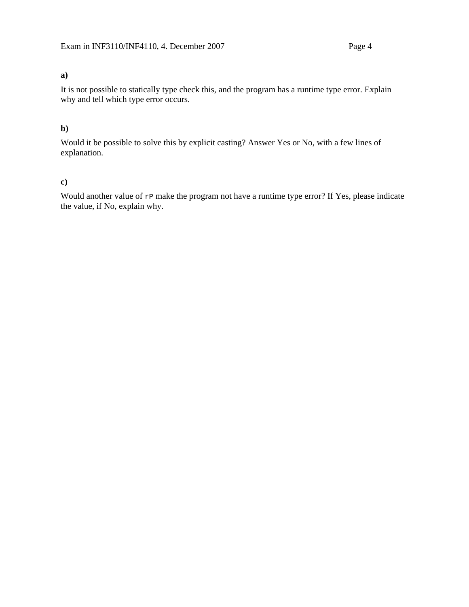### **a)**

It is not possible to statically type check this, and the program has a runtime type error. Explain why and tell which type error occurs.

#### **b)**

Would it be possible to solve this by explicit casting? Answer Yes or No, with a few lines of explanation.

#### **c)**

Would another value of  $r$ P make the program not have a runtime type error? If Yes, please indicate the value, if No, explain why.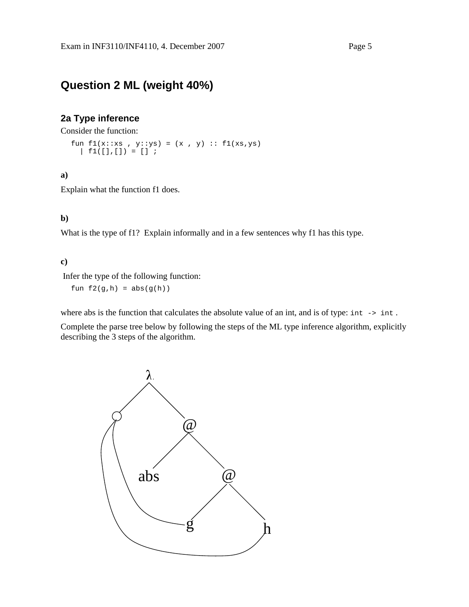## **Question 2 ML (weight 40%)**

#### **2a Type inference**

Consider the function:

fun f1(x::xs , y::ys) = (x , y) :: f1(xs,ys)  $| f1([], []) = [] ;$ 

#### **a)**

Explain what the function f1 does.

#### **b)**

What is the type of f1? Explain informally and in a few sentences why f1 has this type.

#### **c)**

Infer the type of the following function:

fun  $f2(g,h) = abs(g(h))$ 

where abs is the function that calculates the absolute value of an int, and is of type: int -> int.

Complete the parse tree below by following the steps of the ML type inference algorithm, explicitly describing the 3 steps of the algorithm.

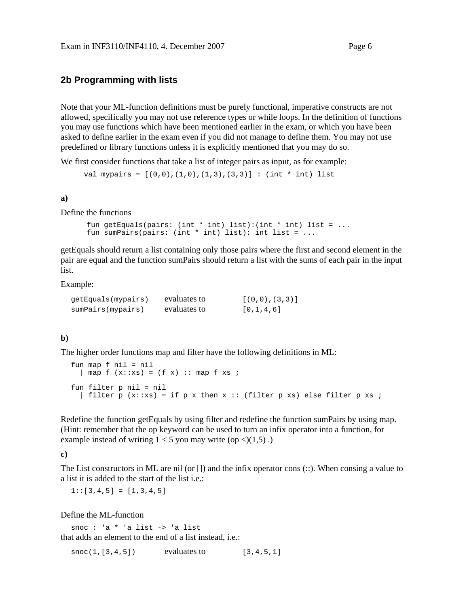#### **2b Programming with lists**

Note that your ML-function definitions must be purely functional, imperative constructs are not allowed, specifically you may not use reference types or while loops. In the definition of functions you may use functions which have been mentioned earlier in the exam, or which you have been asked to define earlier in the exam even if you did not manage to define them. You may not use predefined or library functions unless it is explicitly mentioned that you may do so.

We first consider functions that take a list of integer pairs as input, as for example:

val mypairs =  $[(0,0), (1,0), (1,3), (3,3)]$  : (int \* int) list

**a)** 

Define the functions

```
fun getEquals(pairs: (int * int) list):(int * int) list = ...
fun sumPairs(pairs: (int * int) list): int list = ...
```
getEquals should return a list containing only those pairs where the first and second element in the pair are equal and the function sumPairs should return a list with the sums of each pair in the input list.

Example:

| qetEquals(mypairs) | evaluates to | [(0,0), (3,3)] |
|--------------------|--------------|----------------|
| sumPairs(mypairs)  | evaluates to | [0,1,4,6]      |

#### **b)**

The higher order functions map and filter have the following definitions in ML:

```
fun map f nil = nil 
  | map f (x::xs) = (f x) :: map f xs ;fun filter p nil = nil 
  | filter p (x::xs) = if p x then x :: (filter p xs) else filter p xs ;
```
Redefine the function getEquals by using filter and redefine the function sumPairs by using map. (Hint: remember that the op keyword can be used to turn an infix operator into a function, for example instead of writing  $1 < 5$  you may write (op  $\langle 1, 5 \rangle$ ).

**c)** 

The List constructors in ML are nil (or []) and the infix operator cons (::). When consing a value to a list it is added to the start of the list i.e.:

 $1::[3,4,5] = [1,3,4,5]$ 

Define the ML-function

snoc : 'a \* 'a list -> 'a list that adds an element to the end of a list instead, i.e.:

 $\text{snoc}(1, [3, 4, 5])$  evaluates to  $[3, 4, 5, 1]$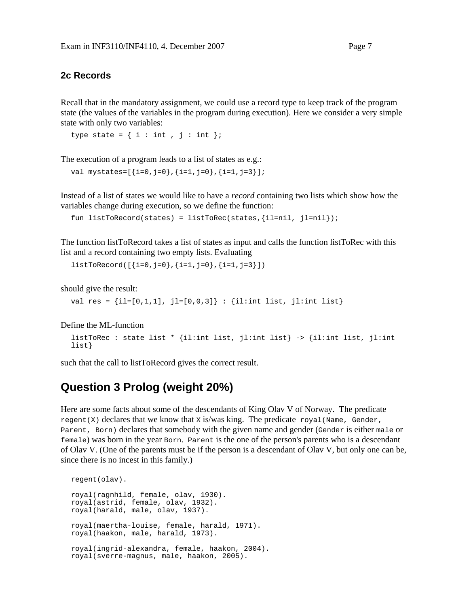#### **2c Records**

Recall that in the mandatory assignment, we could use a record type to keep track of the program state (the values of the variables in the program during execution). Here we consider a very simple state with only two variables:

```
type state = \{ i : int , j : int \};
```
The execution of a program leads to a list of states as e.g.:

```
val mystates=[{i=0,j=0},{i=1,j=0},{i=1,j=3}];
```
Instead of a list of states we would like to have a *record* containing two lists which show how the variables change during execution, so we define the function:

```
fun listToRecord(states) = listToRec(states, \{i1=ni1, j1=ni1\});
```
The function listToRecord takes a list of states as input and calls the function listToRec with this list and a record containing two empty lists. Evaluating

 $listToRecord([{i=0,j=0},{i=1,j=0},{i=1,j=3}])$ 

should give the result:

val res =  $\{il = [0,1,1], jl = [0,0,3]\} : \{il: int list, jli: int list\}$ 

Define the ML-function

```
listToRec : state list * {il:int list, jl:int list} -> {il:int list, jl:int 
list}
```
such that the call to listToRecord gives the correct result.

## **Question 3 Prolog (weight 20%)**

Here are some facts about some of the descendants of King Olav V of Norway. The predicate regent(X) declares that we know that  $x$  is/was king. The predicate royal (Name, Gender, Parent, Born) declares that somebody with the given name and gender (Gender is either male or female) was born in the year Born. Parent is the one of the person's parents who is a descendant of Olav V. (One of the parents must be if the person is a descendant of Olav V, but only one can be, since there is no incest in this family.)

```
regent(olav). 
royal(ragnhild, female, olav, 1930). 
royal(astrid, female, olav, 1932). 
royal(harald, male, olav, 1937). 
royal(maertha-louise, female, harald, 1971). 
royal(haakon, male, harald, 1973). 
royal(ingrid-alexandra, female, haakon, 2004). 
royal(sverre-magnus, male, haakon, 2005).
```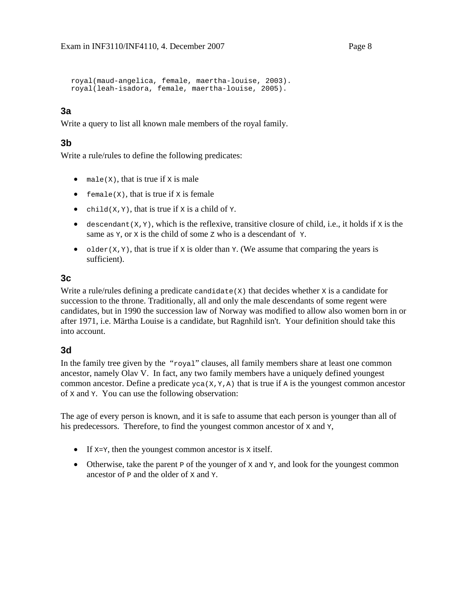```
royal(maud-angelica, female, maertha-louise, 2003). 
royal(leah-isadora, female, maertha-louise, 2005).
```
## **3a**

Write a query to list all known male members of the royal family.

### **3b**

Write a rule/rules to define the following predicates:

- male( $X$ ), that is true if  $X$  is male
- female( $X$ ), that is true if  $X$  is female
- child( $X, Y$ ), that is true if  $X$  is a child of  $Y$ .
- descendant  $(X, Y)$ , which is the reflexive, transitive closure of child, i.e., it holds if  $X$  is the same as  $\mathbf{y}$ , or  $\mathbf{x}$  is the child of some z who is a descendant of  $\mathbf{y}$ .
- older( $X, Y$ ), that is true if x is older than  $Y$ . (We assume that comparing the years is sufficient).

### **3c**

Write a rule/rules defining a predicate candidate $(X)$  that decides whether x is a candidate for succession to the throne. Traditionally, all and only the male descendants of some regent were candidates, but in 1990 the succession law of Norway was modified to allow also women born in or after 1971, i.e. Märtha Louise is a candidate, but Ragnhild isn't. Your definition should take this into account.

### **3d**

In the family tree given by the "royal" clauses, all family members share at least one common ancestor, namely Olav V. In fact, any two family members have a uniquely defined youngest common ancestor. Define a predicate  $yca(X,Y,A)$  that is true if A is the youngest common ancestor of X and Y. You can use the following observation:

The age of every person is known, and it is safe to assume that each person is younger than all of his predecessors. Therefore, to find the youngest common ancestor of x and y,

- If  $x=y$ , then the youngest common ancestor is x itself.
- Otherwise, take the parent  $\bar{P}$  of the younger of x and  $\bar{Y}$ , and look for the youngest common ancestor of  $P$  and the older of x and  $Y$ .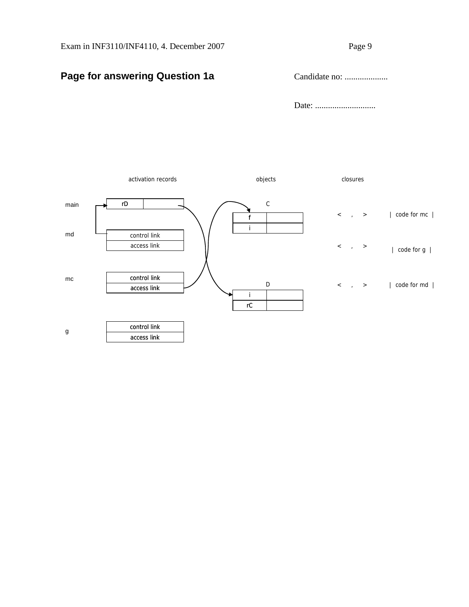## **Page for answering Question 1a** Candidate no: ....................

Date: ............................